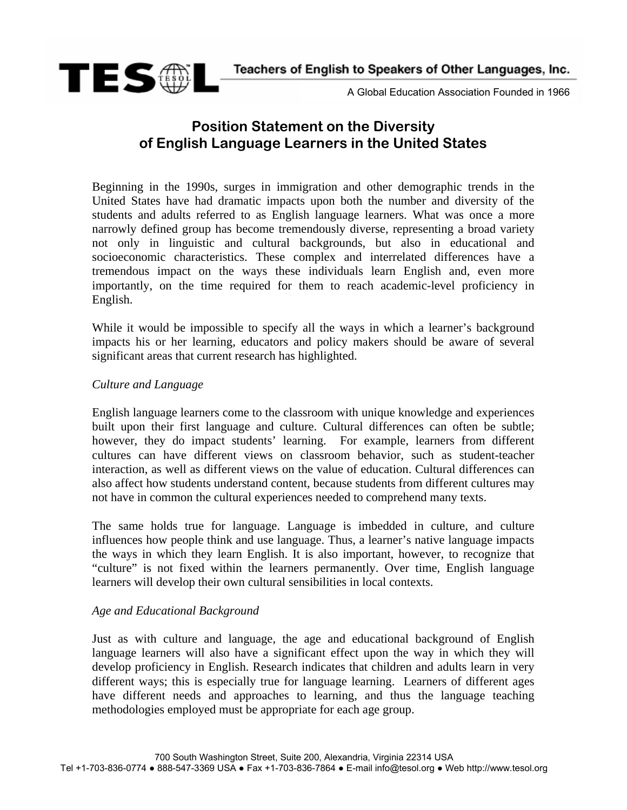Teachers of English to Speakers of Other Languages, Inc.



A Global Education Association Founded in 1966

# **Position Statement on the Diversity of English Language Learners in the United States**

Beginning in the 1990s, surges in immigration and other demographic trends in the United States have had dramatic impacts upon both the number and diversity of the students and adults referred to as English language learners. What was once a more narrowly defined group has become tremendously diverse, representing a broad variety not only in linguistic and cultural backgrounds, but also in educational and socioeconomic characteristics. These complex and interrelated differences have a tremendous impact on the ways these individuals learn English and, even more importantly, on the time required for them to reach academic-level proficiency in English.

While it would be impossible to specify all the ways in which a learner's background impacts his or her learning, educators and policy makers should be aware of several significant areas that current research has highlighted.

# *Culture and Language*

English language learners come to the classroom with unique knowledge and experiences built upon their first language and culture. Cultural differences can often be subtle; however, they do impact students' learning. For example, learners from different cultures can have different views on classroom behavior, such as student-teacher interaction, as well as different views on the value of education. Cultural differences can also affect how students understand content, because students from different cultures may not have in common the cultural experiences needed to comprehend many texts.

The same holds true for language. Language is imbedded in culture, and culture influences how people think and use language. Thus, a learner's native language impacts the ways in which they learn English. It is also important, however, to recognize that "culture" is not fixed within the learners permanently. Over time, English language learners will develop their own cultural sensibilities in local contexts.

# *Age and Educational Background*

Just as with culture and language, the age and educational background of English language learners will also have a significant effect upon the way in which they will develop proficiency in English. Research indicates that children and adults learn in very different ways; this is especially true for language learning. Learners of different ages have different needs and approaches to learning, and thus the language teaching methodologies employed must be appropriate for each age group.